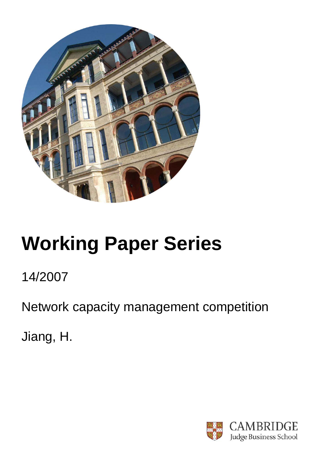

# **Working Paper Series**

# 14/2007

Network capacity management competition

Jiang, H.

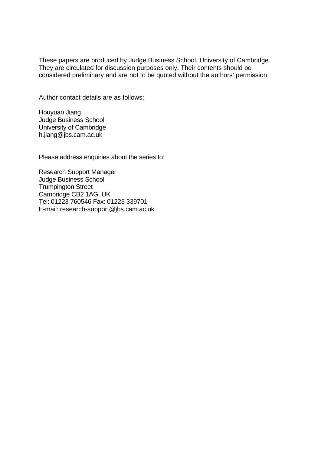These papers are produced by Judge Business School, University of Cambridge. They are circulated for discussion purposes only. Their contents should be considered preliminary and are not to be quoted without the authors' permission.

Author contact details are as follows:

Houyuan Jiang Judge Business School University of Cambridge h.jiang@jbs.cam.ac.uk

Please address enquiries about the series to:

Research Support Manager Judge Business School Trumpington Street Cambridge CB2 1AG, UK Tel: 01223 760546 Fax: 01223 339701 E-mail: research-support@jbs.cam.ac.uk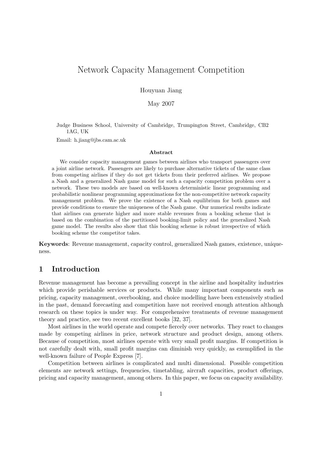# Network Capacity Management Competition

Houyuan Jiang

May 2007

Judge Business School, University of Cambridge, Trumpington Street, Cambridge, CB2 1AG, UK

Email: h.jiang@jbs.cam.ac.uk

#### Abstract

We consider capacity management games between airlines who transport passengers over a joint airline network. Passengers are likely to purchase alternative tickets of the same class from competing airlines if they do not get tickets from their preferred airlines. We propose a Nash and a generalized Nash game model for such a capacity competition problem over a network. These two models are based on well-known deterministic linear programming and probabilistic nonlinear programming approximations for the non-competitive network capacity management problem. We prove the existence of a Nash equilibrium for both games and provide conditions to ensure the uniqueness of the Nash game. Our numerical results indicate that airlines can generate higher and more stable revenues from a booking scheme that is based on the combination of the partitioned booking-limit policy and the generalized Nash game model. The results also show that this booking scheme is robust irrespective of which booking scheme the competitor takes.

Keywords: Revenue management, capacity control, generalized Nash games, existence, uniqueness.

# 1 Introduction

Revenue management has become a prevailing concept in the airline and hospitality industries which provide perishable services or products. While many important components such as pricing, capacity management, overbooking, and choice modelling have been extensively studied in the past, demand forecasting and competition have not received enough attention although research on these topics is under way. For comprehensive treatments of revenue management theory and practice, see two recent excellent books [32, 37].

Most airlines in the world operate and compete fiercely over networks. They react to changes made by competing airlines in price, network structure and product design, among others. Because of competition, most airlines operate with very small profit margins. If competition is not carefully dealt with, small profit margins can diminish very quickly, as exemplified in the well-known failure of People Express [7].

Competition between airlines is complicated and multi dimensional. Possible competition elements are network settings, frequencies, timetabling, aircraft capacities, product offerings, pricing and capacity management, among others. In this paper, we focus on capacity availability.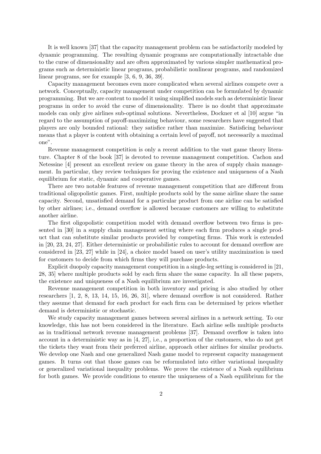It is well known [37] that the capacity management problem can be satisfactorily modeled by dynamic programming. The resulting dynamic programs are computationally intractable due to the curse of dimensionality and are often approximated by various simpler mathematical programs such as deterministic linear programs, probabilistic nonlinear programs, and randomized linear programs, see for example [3, 6, 9, 36, 39].

Capacity management becomes even more complicated when several airlines compete over a network. Conceptually, capacity management under competition can be formulated by dynamic programming. But we are content to model it using simplified models such as deterministic linear programs in order to avoid the curse of dimensionality. There is no doubt that approximate models can only give airlines sub-optimal solutions. Nevertheless, Dockner et al [10] argue "in regard to the assumption of payoff-maximizing behaviour, some researchers have suggested that players are only bounded rational: they satisfice rather than maximize. Satisficing behaviour means that a player is content with obtaining a certain level of payoff, not necessarily a maximal one".

Revenue management competition is only a recent addition to the vast game theory literature. Chapter 8 of the book [37] is devoted to revenue management competition. Cachon and Netessine [4] present an excellent review on game theory in the area of supply chain management. In particular, they review techniques for proving the existence and uniqueness of a Nash equilibrium for static, dynamic and cooperative games.

There are two notable features of revenue management competition that are different from traditional oligopolistic games. First, multiple products sold by the same airline share the same capacity. Second, unsatisfied demand for a particular product from one airline can be satisfied by other airlines; i.e., demand overflow is allowed because customers are willing to substitute another airline.

The first oligopolistic competition model with demand overflow between two firms is presented in [30] in a supply chain management setting where each firm produces a single product that can substitute similar products provided by competing firms. This work is extended in [20, 23, 24, 27]. Either deterministic or probabilistic rules to account for demand overflow are considered in [23, 27] while in [24], a choice model based on user's utility maximization is used for customers to decide from which firms they will purchase products.

Explicit duopoly capacity management competition in a single-leg setting is considered in [21, 28, 35] where multiple products sold by each firm share the same capacity. In all these papers, the existence and uniqueness of a Nash equilibrium are investigated.

Revenue management competition in both inventory and pricing is also studied by other researchers [1, 2, 8, 13, 14, 15, 16, 26, 31], where demand overflow is not considered. Rather they assume that demand for each product for each firm can be determined by prices whether demand is deterministic or stochastic.

We study capacity management games between several airlines in a network setting. To our knowledge, this has not been considered in the literature. Each airline sells multiple products as in traditional network revenue management problems [37]. Demand overflow is taken into account in a deterministic way as in [4, 27], i.e., a proportion of the customers, who do not get the tickets they want from their preferred airline, approach other airlines for similar products. We develop one Nash and one generalized Nash game model to represent capacity management games. It turns out that those games can be reformulated into either variational inequality or generalized variational inequality problems. We prove the existence of a Nash equilibrium for both games. We provide conditions to ensure the uniqueness of a Nash equilibrium for the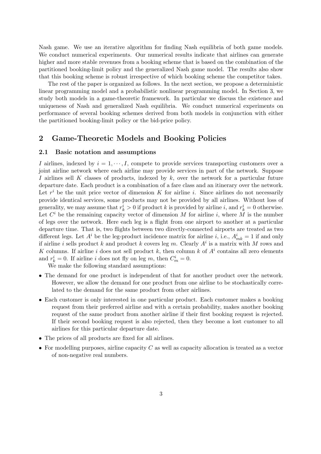Nash game. We use an iterative algorithm for finding Nash equilibria of both game models. We conduct numerical experiments. Our numerical results indicate that airlines can generate higher and more stable revenues from a booking scheme that is based on the combination of the partitioned booking-limit policy and the generalized Nash game model. The results also show that this booking scheme is robust irrespective of which booking scheme the competitor takes.

The rest of the paper is organized as follows. In the next section, we propose a deterministic linear programming model and a probabilistic nonlinear programming model. In Section 3, we study both models in a game-theoretic framework. In particular we discuss the existence and uniqueness of Nash and generalized Nash equilibria. We conduct numerical experiments on performance of several booking schemes derived from both models in conjunction with either the partitioned booking-limit policy or the bid-price policy.

# 2 Game-Theoretic Models and Booking Policies

#### 2.1 Basic notation and assumptions

I airlines, indexed by  $i = 1, \dots, I$ , compete to provide services transporting customers over a joint airline network where each airline may provide services in part of the network. Suppose I airlines sell K classes of products, indexed by  $k$ , over the network for a particular future departure date. Each product is a combination of a fare class and an itinerary over the network. Let  $r^i$  be the unit price vector of dimension K for airline i. Since airlines do not necessarily provide identical services, some products may not be provided by all airlines. Without loss of generality, we may assume that  $r_k^i > 0$  if product k is provided by airline i, and  $r_k^i = 0$  otherwise. Let  $C^i$  be the remaining capacity vector of dimension M for airline i, where M is the number of legs over the network. Here each leg is a flight from one airport to another at a particular departure time. That is, two flights between two directly-connected airports are treated as two different legs. Let  $A^i$  be the leg-product incidence matrix for airline *i*, i.e.,  $A_{mk}^i = 1$  if and only if airline i sells product k and product k covers leg m. Clearly  $A^i$  is a matrix with M rows and K columns. If airline i does not sell product k, then column k of  $A<sup>i</sup>$  contains all zero elements and  $r_k^i = 0$ . If airline i does not fly on leg m, then  $C_m^i = 0$ .

We make the following standard assumptions:

- The demand for one product is independent of that for another product over the network. However, we allow the demand for one product from one airline to be stochastically correlated to the demand for the same product from other airlines.
- Each customer is only interested in one particular product. Each customer makes a booking request from their preferred airline and with a certain probability, makes another booking request of the same product from another airline if their first booking request is rejected. If their second booking request is also rejected, then they become a lost customer to all airlines for this particular departure date.
- The prices of all products are fixed for all airlines.
- For modelling purposes, airline capacity  $C$  as well as capacity allocation is treated as a vector of non-negative real numbers.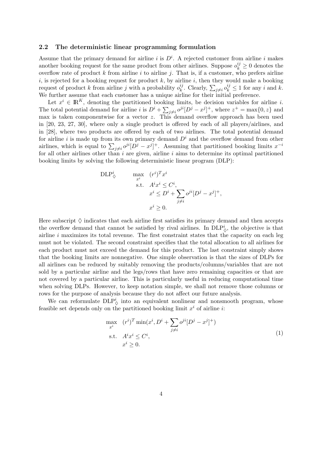#### 2.2 The deterministic linear programming formulation

Assume that the primary demand for airline i is  $D^i$ . A rejected customer from airline i makes another booking request for the same product from other airlines. Suppose  $o_k^{ij} \geq 0$  denotes the overflow rate of product  $k$  from airline  $i$  to airline  $j$ . That is, if a customer, who prefers airline i, is rejected for a booking request for product  $k$ , by airline i, then they would make a booking request of product k from airline j with a probability  $o_k^{ij}$  $k_k^{ij}$ . Clearly,  $\sum_{j\neq i} o_k^{ij} \leq 1$  for any i and k. We further assume that each customer has a unique airline for their initial preference.

Let  $x^i \in \mathbb{R}^K$ , denoting the partitioned booking limits, be decision variables for airline *i*. The total potential demand for airline i is  $D^i + \sum_{j\neq i} o^{ji} [D^j - x^j]^+$ , where  $z^+ = \max\{0, z\}$  and max is taken componentwise for a vector  $z$ . This demand overflow approach has been used in [20, 23, 27, 30], where only a single product is offered by each of all players/airlines, and in [28], where two products are offered by each of two airlines. The total potential demand for airline i is made up from its own primary demand  $D^i$  and the overflow demand from other airlines, which is equal to  $\sum_{j\neq i}o^{ji}[D^j - x^j]^+$ . Assuming that partitioned booking limits  $x^{-i}$ for all other airlines other than  $i$  are given, airline  $i$  aims to determine its optimal partitioned booking limits by solving the following deterministic linear program (DLP):

$$
\begin{aligned}\n\text{DLP}^i_{\diamondsuit} & \qquad \max_{x^i} \quad (r^i)^T x^i \\
& \text{s.t.} \quad A^i x^i \le C^i, \\
& x^i \le D^i + \sum_{j \ne i} o^{ji} [D^j - x^j]^+, \\
& x^i \ge 0.\n\end{aligned}
$$

Here subscript  $\Diamond$  indicates that each airline first satisfies its primary demand and then accepts the overflow demand that cannot be satisfied by rival airlines. In  $DLP^i_{\diamondsuit}$ , the objective is that airline  $i$  maximizes its total revenue. The first constraint states that the capacity on each leg must not be violated. The second constraint specifies that the total allocation to all airlines for each product must not exceed the demand for this product. The last constraint simply shows that the booking limits are nonnegative. One simple observation is that the sizes of DLPs for all airlines can be reduced by suitably removing the products/columns/variables that are not sold by a particular airline and the legs/rows that have zero remaining capacities or that are not covered by a particular airline. This is particularly useful in reducing computational time when solving DLPs. However, to keep notation simple, we shall not remove those columns or rows for the purpose of analysis because they do not affect our future analysis.

We can reformulate  $\text{DLP}_\diamond^i$  into an equivalent nonlinear and nonsmooth program, whose feasible set depends only on the partitioned booking limit  $x^i$  of airline *i*:

$$
\max_{x^i} \quad (r^i)^T \min(x^i, D^i + \sum_{j \neq i} o^{ji} [D^j - x^j]^+)
$$
\n
$$
\text{s.t.} \quad A^i x^i \leq C^i,
$$
\n
$$
x^i \geq 0.
$$
\n
$$
(1)
$$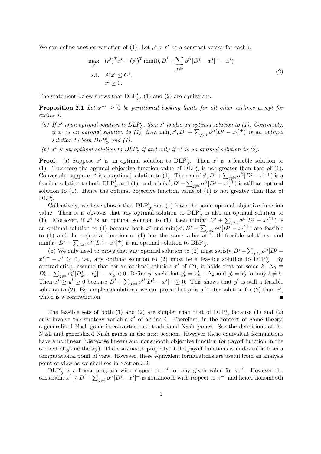We can define another variation of (1). Let  $\rho^i > r^i$  be a constant vector for each i.

$$
\max_{x^{i}} \quad (r^{i})^{T} x^{i} + (\rho^{i})^{T} \min(0, D^{i} + \sum_{j \neq i} o^{ji} [D^{j} - x^{j}]^{+} - x^{i})
$$
\n
$$
\text{s.t.} \quad A^{i} x^{i} \leq C^{i},
$$
\n
$$
x^{i} \geq 0.
$$
\n(2)

The statement below shows that  $DLP^i_{\diamondsuit}$ , (1) and (2) are equivalent.

**Proposition 2.1** Let  $x^{-i} \geq 0$  be partitioned booking limits for all other airlines except for airline i.

- (a) If  $x^i$  is an optimal solution to  $DLP^i_{\diamondsuit}$ , then  $x^i$  is also an optimal solution to (1). Conversely, if  $x^i$  is an optimal solution to (1), then  $\min(x^i, D^i + \sum_{j \neq i} o^{ji} [D^j - x^j]^+)$  is an optimal solution to both  $DLP^i_{\diamondsuit}$  and (1).
- (b)  $x^i$  is an optimal solution to  $DLP^i_{\diamondsuit}$  if and only if  $x^i$  is an optimal solution to (2).

**Proof.** (a) Suppose  $x^i$  is an optimal solution to  $DLP^i_{\diamondsuit}$ . Then  $x^i$  is a feasible solution to (1). Therefore the optimal objective function value of  $\text{DLP}_\diamond^i$  is not greater than that of (1). Conversely, suppose  $x^i$  is an optimal solution to (1). Then  $\min(x^i, D^i + \sum_{j \neq i} o^{ji} [D^j - x^j]^+)$  is a feasible solution to both  $\text{DLP}_\diamond^i$  and (1), and  $\min(x^i, D^i + \sum_{j \neq i} o^{ji} [D^j - x^j]^+$ ) is still an optimal solution to (1). Hence the optimal objective function value of (1) is not greater than that of  $\text{DLP}_\lozenge^i$ .

Collectively, we have shown that  $DLP^i_{\diamondsuit}$  and (1) have the same optimal objective function value. Then it is obvious that any optimal solution to  $DLP^i_{\diamondsuit}$  is also an optimal solution to (1). Moreover, if  $x^i$  is an optimal solution to (1), then  $\min(x^i, D^i + \sum_{j\neq i} o^{ji} [D^j - x^j]^+)$  is an optimal solution to (1) because both  $x^i$  and  $\min(x^i, D^i + \sum_{j \neq i} o^{ji} [D^j - x^j]^+)$  are feasible to  $(1)$  and the objective function of  $(1)$  has the same value at both feasible solutions, and  $\min(x^i, D^i + \sum_{j \neq i} o^{ji} [D^j - x^j]^+)$  is an optimal solution to  $\text{DLP}_\diamond^i$ .

(b) We only need to prove that any optimal solution to (2) must satisfy  $D^i + \sum_{j \neq i} o^{ji} [D^j [x^j]^+ - x^i \geq 0$ , i.e., any optimal solution to (2) must be a feasible solution to  $\text{DLP}_\lozenge^i$ . By contradiction, assume that for an optimal solution  $\bar{x}^i$  of (2), it holds that for some  $k, \Delta_k \equiv$  $D_k^i + \sum_{j\neq i} o_k^{ji}$  $j_i^j [D_k^j - x_k^j]$  $\mathbf{z}_{k}^{j}|^{+} - \bar{x}_{k}^{i} < 0.$  Define  $y^{i}$  such that  $y_{k}^{i} = \bar{x}_{k}^{i} + \Delta_{k}$  and  $y_{\ell}^{i} = \bar{x}_{\ell}^{i}$  for any  $\ell \neq k$ . Then  $x^i \geq y^i \geq 0$  because  $D^i + \sum_{j \neq i} o^{ji} [D^j - x^j]^+ \geq 0$ . This shows that  $y^i$  is still a feasible solution to (2). By simple calculations, we can prove that  $y^i$  is a better solution for (2) than  $\bar{x}^i$ , which is a contradiction.

The feasible sets of both (1) and (2) are simpler than that of  $DLP^i_{\Diamond}$  because (1) and (2) only involve the strategy variable  $x^i$  of airline i. Therefore, in the context of game theory, a generalized Nash game is converted into traditional Nash games. See the definitions of the Nash and generalized Nash games in the next section. However these equivalent formulations have a nonlinear (piecewise linear) and nonsmooth objective function (or payoff function in the context of game theory). The nonsmooth property of the payoff functions is undesirable from a computational point of view. However, these equivalent formulations are useful from an analysis point of view as we shall see in Section 3.2.

DLP<sup>i</sup><sub> $\circ$ </sub> is a linear program with respect to  $x^i$  for any given value for  $x^{-i}$ . However the constraint  $x^i \le D^i + \sum_{j \ne i} o^{ji} [D^j - x^j]^+$  is nonsmooth with respect to  $x^{-i}$  and hence nonsmooth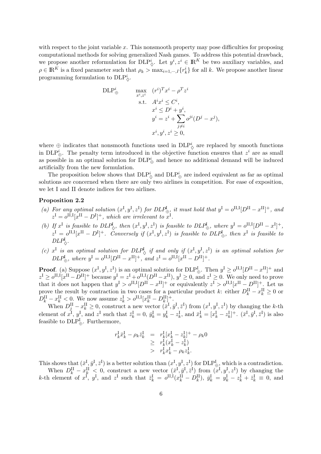with respect to the joint variable  $x$ . This nonsmooth property may pose difficulties for proposing computational methods for solving generalized Nash games. To address this potential drawback, we propose another reformulation for  $\text{DLP}_\diamond^i$ . Let  $y^i, z^i \in \mathbb{R}^K$  be two auxiliary variables, and  $\rho \in \mathbb{R}^K$  is a fixed parameter such that  $\rho_k > \max_{i=1,\dots,I} \{r_k^i\}$  for all k. We propose another linear programming formulation to  $\text{DLP}_\lozenge^i$ .

$$
\begin{aligned}\n\text{DLP}^i_{\oplus} & \max_{x^i, z^i} \quad (r^i)^T x^i - \rho^T z^i \\
&\text{s.t.} \quad A^i x^i \le C^i, \\
& x^i \le D^i + y^i, \\
& y^i = z^i + \sum_{j \ne i} \rho^{ji} (D^j - x^j), \\
& x^i, y^i, z^i \ge 0,\n\end{aligned}
$$

where  $\oplus$  indicates that nonsmooth functions used in  $DLP^i_{\diamondsuit}$  are replaced by smooth functions in DLP<sup>i</sup><sub> $\oplus$ </sub>. The penalty term introduced in the objective function ensures that  $z<sup>i</sup>$  are as small as possible in an optimal solution for  $\text{DLP}_\oplus^i$  and hence no additional demand will be induced artificially from the new formulation.

The proposition below shows that  $\text{DLP}_\diamond^i$  and  $\text{DLP}_\oplus^i$  are indeed equivalent as far as optimal solutions are concerned when there are only two airlines in competition. For ease of exposition, we let I and II denote indices for two airlines.

#### Proposition 2.2

- (a) For any optimal solution  $(x^I, y^I, z^I)$  for  $DLP_{\oplus}^I$  it must hold that  $y^I = o^{II,I}[D^{II} x^{II}]^+$ , and  $z^{\text{I}} = o^{\text{II},\text{I}}[x^{\text{II}} - D^{\text{I}}]^+$ , which are irrelevant to  $x^{\text{I}}$ .
- (b) If  $x^I$  is feasible to  $DLP^I_{\diamondsuit}$ , then  $(x^I, y^I, z^I)$  is feasible to  $DLP^I_{\oplus}$ , where  $y^I = o^{II,I}[D^{II} x^I]^+$ ,  $z^{\rm I} = o^{\rm II,I}[x^{\rm II} - D^{\rm I}]^+$ . Conversely if  $(x^{\rm I}, y^{\rm I}, z^{\rm I})$  is feasible to  $DLP_{\oplus}^{\rm I}$ , then  $x^{\rm I}$  is feasible to  $DLP_{\diamondsuit}^{\mathrm{I}}$ .
- (c)  $x^I$  is an optimal solution for  $DLP^I_{\diamondsuit}$  if and only if  $(x^I, y^I, z^I)$  is an optimal solution for  $DLP_{\oplus}^{\rm I}$ , where  $y^{\rm I} = o^{\rm II,I}[D^{\rm II} - x^{\rm II}]^+$ , and  $z^{\rm I} = o^{\rm II,I}[x^{\rm II} - D^{\rm II}]^+$ .

**Proof.** (a) Suppose  $(x^{\text{I}}, y^{\text{I}}, z^{\text{I}})$  is an optimal solution for  $DLP_{\oplus}^{\text{I}}$ . Then  $y^{\text{I}} \geq o^{\text{II},\text{I}}[D^{\text{II}} - x^{\text{II}}]^+$  and  $z^{\text{I}} \geq o^{\text{II,I}}[x^{\text{II}} - D^{\text{II}}]^+$  because  $y^{\text{I}} = z^{\text{I}} + o^{\text{II,I}}(D^{\text{II}} - x^{\text{II}}), y^{\text{I}} \geq 0$ , and  $z^{\text{I}} \geq 0$ . We only need to prove that it does not happen that  $y^{\text{I}} > o^{\text{II},\text{I}}[D^{\text{II}} - x^{\text{II}}]^+$  or equivalently  $z^{\text{I}} > o^{\text{II},\text{I}}[x^{\text{II}} - D^{\text{II}}]^+$ . Let us prove the result by contraction in two cases for a particular product k: either  $D_k^{\text{II}} - x_k^{\text{II}} \geq 0$  or  $D_k^{\text{II}} - x_k^{\text{II}} < 0$ . We now assume  $z_k^{\text{I}} > o^{\text{II,I}}[x_k^{\text{II}} - D_k^{\text{II}}]^+$ .

When  $D_j^{\text{II}} - x_k^{\text{II}} \geq 0$ , construct a new vector  $(\bar{x}^{\text{I}}, \bar{y}^{\text{I}}, \bar{z}^{\text{I}})$  from  $(x^{\text{I}}, y^{\text{I}}, z^{\text{I}})$  by changing the k-th element of  $x^I$ ,  $y^I$ , and  $z^I$  such that  $\bar{z}^I_k = 0$ ,  $\bar{y}^I_k = y^I_k - z^I_k$ , and  $\bar{x}^I_k = [x^I_k - z^I_k]^+$ .  $(\bar{x}^I, \bar{y}^I, \bar{z}^I)$  is also feasible to  $\text{DLP}_\oplus^{\text{I}}$ . Furthermore,

$$
r_k^{\mathrm{T}} \bar{x}_k^{\mathrm{I}} - \rho_k \bar{z}_k^{\mathrm{I}} = r_k^{\mathrm{I}} [x_k^{\mathrm{I}} - z_k^{\mathrm{I}}]^+ - \rho_k 0
$$
  
\n
$$
\geq r_k^{\mathrm{I}} (x_k^{\mathrm{I}} - z_k^{\mathrm{I}})
$$
  
\n
$$
> r_k^{\mathrm{I}} x_k^{\mathrm{I}} - \rho_k z_k^{\mathrm{I}}.
$$

This shows that  $(\bar{x}^I, \bar{y}^I, \bar{z}^I)$  is a better solution than  $(x^I, y^I, z^I)$  for  $\text{DLP}_\oplus^I$ , which is a contradiction.

When  $D_k^{\text{II}} - x_k^{\text{II}} \leq 0$ , construct a new vector  $(\bar{x}^{\text{I}}, \bar{y}^{\text{I}}, \bar{z}^{\text{I}})$  from  $(x^{\text{I}}, y^{\text{I}}, z^{\text{I}})$  by changing the k-th element of  $x^I$ ,  $y^I$ , and  $z^I$  such that  $\bar{z}^I_k = o^{II,I}(x^{\text{II}}_k - D^{\text{II}}_k)$ ,  $\bar{y}^I_k = y^I_k - z^I_k + \bar{z}^I_k \equiv 0$ , and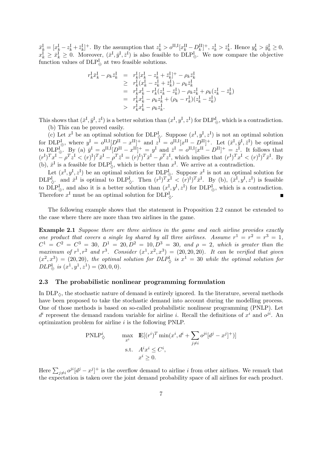$\bar{x}_{k}^{\text{I}} = [x_{k}^{\text{I}} - z_{k}^{\text{I}} + \bar{z}_{k}^{\text{I}}]^{\text{+}}$ . By the assumption that  $z_{k}^{\text{I}} > o^{\text{II,I}}[x_{k}^{\text{II}} - D_{k}^{\text{II}}]^{\text{+}}$ ,  $z_{k}^{\text{I}} > \bar{z}_{k}^{\text{I}}$ . Hence  $y_{k}^{\text{I}} > \bar{y}_{k}^{\text{I}} \geq 0$ ,  $x_k^{\text{I}} \geq \bar{x}_k^{\text{I}} \geq 0$ . Moreover,  $(\bar{x}^{\text{I}}, \bar{y}^{\text{I}}, \bar{z}^{\text{I}})$  is also feasible to  $\text{DLP}_{\bigoplus}^{\text{I}}$ . We now compare the objective function values of  $\text{DLP}_\oplus^{\text{I}}$  at two feasible solutions.

$$
\begin{array}{rcl} r^{\mathrm{I}}_k\bar{x}^{\mathrm{I}}_k - \rho_k\bar{z}^{\mathrm{I}}_k &=& r^{\mathrm{I}}_k[x^{\mathrm{I}}_k - z^{\mathrm{I}}_k + \bar{z}^{\mathrm{I}}_k]^+ - \rho_k\bar{z}^{\mathrm{I}}_k \\ &\geq & r^{\mathrm{I}}_k(x^{\mathrm{I}}_k - z^{\mathrm{I}}_k + \bar{z}^{\mathrm{I}}_k) - \rho_k\bar{z}^{\mathrm{I}}_k \\ &=& r^{\mathrm{I}}_kx^{\mathrm{I}}_k - r^{\mathrm{I}}_k(z^{\mathrm{I}}_k - \bar{z}^{\mathrm{I}}_k) - \rho_kz^{\mathrm{I}}_k + \rho_k(z^{\mathrm{I}}_k - \bar{z}^{\mathrm{I}}_k) \\ &=& r^{\mathrm{I}}_kx^{\mathrm{I}}_k - \rho_kz^{\mathrm{I}}_k + (\rho_k - r^{\mathrm{I}}_k)(z^{\mathrm{I}}_k - \bar{z}^{\mathrm{I}}_k) \\ &> & r^{\mathrm{I}}_kx^{\mathrm{I}}_k - \rho_kz^{\mathrm{I}}_k. \end{array}
$$

This shows that  $(\bar{x}^I, \bar{y}^I, \bar{z}^I)$  is a better solution than  $(x^I, y^I, z^I)$  for  $\text{DLP}_\oplus^I$ , which is a contradiction. (b) This can be proved easily.

(c) Let  $x^I$  be an optimal solution for DLP<sup>I</sup><sub>Q</sub>. Suppose  $(x^I, y^I, z^I)$  is not an optimal solution for  $\text{DLP}_\oplus^{\text{I}}$ , where  $y^{\text{I}} = o^{\text{II},\text{I}}[D^{\text{II}} - x^{\text{II}}]^+$  and  $z^{\text{I}} = o^{\text{II},\text{I}}[x^{\text{II}} - D^{\text{II}}]^+$ . Let  $(\bar{x}^{\text{I}}, \bar{y}^{\text{I}}, \bar{z}^{\text{I}})$  be optimal to  $\text{DLP}_\oplus^{\text{I}}$ . By (a)  $\bar{y}^{\text{I}} = o^{\text{II,I}}[D^{\text{II}} - x^{\text{II}}]^+ = y^{\text{I}}$  and  $\bar{z}^{\text{I}} = o^{\text{II,I}}[x^{\text{II}} - D^{\text{II}}]^+ = z^{\text{I}}$ . It follows that  $(r^I)^T x^I - \rho^T z^I < (r)^I)^T \bar{x}^I - \rho^T \bar{z}^I = (r)^I)^T \bar{x}^I - \rho^T z^I$ , which implies that  $(r^I)^T x^I < (r)^I)^T \bar{x}^I$ . By (b),  $\bar{x}^I$  is a feasible for  $\text{DLP}_{\diamondsuit}^I$ , which is better than  $x^I$ . We arrive at a contradiction.

Let  $(x^I, y^I, z^I)$  be an optimal solution for  $DLP^I_{\oplus}$ . Suppose  $x^I$  is not an optimal solution for  $\text{DLP}_{\diamondsuit}^{\text{I}}$  and  $\bar{x}^{\text{I}}$  is optimal to  $\text{DLP}_{\diamondsuit}^{\text{I}}$ . Then  $(r^{\text{I}})^T \bar{x}^{\text{I}} < (r)^{\text{I}}^T \bar{x}^{\text{I}}$ . By (b),  $(\bar{x}^{\text{I}}, y^{\text{I}}, z^{\text{I}})$  is feasible to  $\text{DLP}_{\oplus}^{\text{I}}$ , and also it is a better solution than  $(x^{\text{I}}_1, y^{\text{I}}_1, z^{\text{I}})$  for  $\text{DLP}_{\oplus}^{\text{I}}$ , which is a contradiction. Therefore  $x^{\text{I}}$  must be an optimal solution for  $\text{DLP}_{\lozenge}^{\text{I}}$ .

The following example shows that the statement in Proposition 2.2 cannot be extended to the case where there are more than two airlines in the game.

Example 2.1 Suppose there are three airlines in the game and each airline provides exactly one product that covers a single leg shared by all three airlines. Assume  $r^1 = r^2 = r^3 = 1$ ,  $C^1 = C^2 = C^3 = 30, D^1 = 20, D^2 = 10, D^3 = 30,$  and  $\rho = 2$ , which is greater than the maximum of  $r^1$ ,  $r^2$  and  $r^3$ . Consider  $(x^1, x^2, x^3) = (20, 20, 20)$ . It can be verified that given  $(x^2, x^3) = (20, 20)$ , the optimal solution for  $DLP^1_{\diamondsuit}$  is  $x^1 = 30$  while the optimal solution for  $DLP^1_{\oplus}$  is  $(x^1, y^1, z^1) = (20, 0, 0).$ 

#### 2.3 The probabilistic nonlinear programming formulation

In  $DLP_{\lozenge}$ , the stochastic nature of demand is entirely ignored. In the literature, several methods have been proposed to take the stochastic demand into account during the modelling process. One of those methods is based on so-called probabilistic nonlinear programming (PNLP). Let  $d^i$  represent the demand random variable for airline *i*. Recall the definitions of  $x^i$  and  $o^{ji}$ . An optimization problem for airline  $i$  is the following PNLP.

$$
\begin{aligned}\n\text{PNLP}_{\diamondsuit}^i & \qquad \max_{x^i} & \mathbb{E}[(r^i)^T \min(x^i, d^i + \sum_{j \neq i} o^{ji}[d^j - x^j]^+)] \\
& \text{s.t.} & A^i x^i \leq C^i, \\
& x^i \geq 0.\n\end{aligned}
$$

Here  $\sum_{j\neq i}o^{ji}[d^j-x^j]^+$  is the overflow demand to airline i from other airlines. We remark that the expectation is taken over the joint demand probability space of all airlines for each product.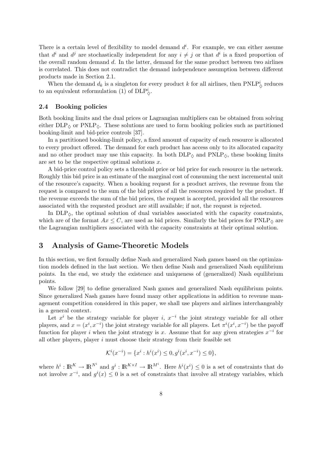There is a certain level of flexibility to model demand  $d^i$ . For example, we can either assume that  $d^i$  and  $d^j$  are stochastically independent for any  $i \neq j$  or that  $d^i$  is a fixed proportion of the overall random demand d. In the latter, demand for the same product between two airlines is correlated. This does not contradict the demand independence assumption between different products made in Section 2.1.

When the demand  $d_k$  is a singleton for every product k for all airlines, then PNLP<sub> $\circ$ </sub> reduces to an equivalent reformulation (1) of  $\text{DLP}_\lozenge^i$ .

#### 2.4 Booking policies

Both booking limits and the dual prices or Lagrangian multipliers can be obtained from solving either  $DLP_{\lozenge}$  or PNLP<sub> $\lozenge$ </sub>. These solutions are used to form booking policies such as partitioned booking-limit and bid-price controls [37].

In a partitioned booking-limit policy, a fixed amount of capacity of each resource is allocated to every product offered. The demand for each product has access only to its allocated capacity and no other product may use this capacity. In both  $DLP_{\lozenge}$  and  $PNLP_{\lozenge}$ , these booking limits are set to be the respective optimal solutions  $x$ .

A bid-price control policy sets a threshold price or bid price for each resource in the network. Roughly this bid price is an estimate of the marginal cost of consuming the next incremental unit of the resource's capacity. When a booking request for a product arrives, the revenue from the request is compared to the sum of the bid prices of all the resources required by the product. If the revenue exceeds the sum of the bid prices, the request is accepted, provided all the resources associated with the requested product are still available; if not, the request is rejected.

In  $DLP_{\lozenge}$ , the optimal solution of dual variables associated with the capacity constraints, which are of the format  $Ax \leq C$ , are used as bid prices. Similarly the bid prices for PNLP<sub> $\Diamond$ </sub> are the Lagrangian multipliers associated with the capacity constraints at their optimal solution.

# 3 Analysis of Game-Theoretic Models

In this section, we first formally define Nash and generalized Nash games based on the optimization models defined in the last section. We then define Nash and generalized Nash equilibrium points. In the end, we study the existence and uniqueness of (generalized) Nash equilibrium points.

We follow [29] to define generalized Nash games and generalized Nash equilibrium points. Since generalized Nash games have found many other applications in addition to revenue management competition considered in this paper, we shall use players and airlines interchangeably in a general context.

Let  $x^i$  be the strategy variable for player *i*,  $x^{-i}$  the joint strategy variable for all other players, and  $x = (x^i, x^{-i})$  the joint strategy variable for all players. Let  $\pi^i(x^i, x^{-i})$  be the payoff function for player i when the joint strategy is x. Assume that for any given strategies  $x^{-i}$  for all other players, player  $i$  must choose their strategy from their feasible set

$$
\mathcal{K}^i(x^{-i}) = \{x^i : h^i(x^i) \le 0, g^i(x^i, x^{-i}) \le 0\},\
$$

where  $h^i: \mathbb{R}^K \to \mathbb{R}^{N^i}$  and  $g^i: \mathbb{R}^{K \times I} \to \mathbb{R}^{M^i}$ . Here  $h^i(x^i) \leq 0$  is a set of constraints that do not involve  $x^{-i}$ , and  $g^{i}(x) \leq 0$  is a set of constraints that involve all strategy variables, which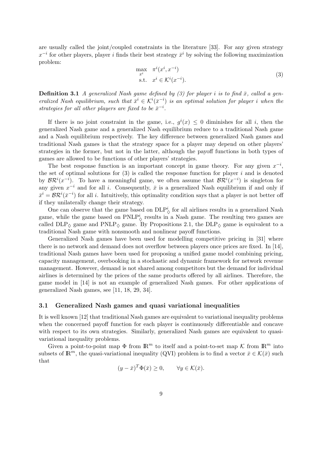are usually called the joint/coupled constraints in the literature [33]. For any given strategy  $x^{-i}$  for other players, player i finds their best strategy  $\bar{x}^i$  by solving the following maximization problem:

$$
\max_{x^i} \quad \pi^i(x^i, x^{-i})
$$
  
s.t. 
$$
x^i \in \mathcal{K}^i(x^{-i}).
$$
 (3)

**Definition 3.1** A generalized Nash game defined by (3) for player i is to find  $\bar{x}$ , called a generalized Nash equilibrium, such that  $\bar{x}^i \in \mathcal{K}^i(\bar{x}^{-i})$  is an optimal solution for player i when the strategies for all other players are fixed to be  $\bar{x}^{-i}$ .

If there is no joint constraint in the game, i.e.,  $g^{i}(x) \leq 0$  diminishes for all i, then the generalized Nash game and a generalized Nash equilibrium reduce to a traditional Nash game and a Nash equilibrium respectively. The key difference between generalized Nash games and traditional Nash games is that the strategy space for a player may depend on other players' strategies in the former, but not in the latter, although the payoff functions in both types of games are allowed to be functions of other players' strategies.

The best response function is an important concept in game theory. For any given  $x^{-i}$ , the set of optimal solutions for  $(3)$  is called the response function for player i and is denoted by  $\mathcal{BR}^i(x^{-i})$ . To have a meaningful game, we often assume that  $\mathcal{BR}^i(x^{-i})$  is singleton for any given  $x^{-i}$  and for all i. Consequently,  $\bar{x}$  is a generalized Nash equilibrium if and only if  $\bar{x}^i = \mathcal{BR}^i(\bar{x}^{-i})$  for all i. Intuitively, this optimality condition says that a player is not better off if they unilaterally change their strategy.

One can observe that the game based on  $DLP^i_{\diamond}$  for all airlines results in a generalized Nash game, while the game based on  $\text{PNLP}_\lozenge^i$  results in a Nash game. The resulting two games are called  $DLP_{\lozenge}$  game and  $PNLP_{\lozenge}$  game. By Propositions 2.1, the  $DLP_{\lozenge}$  game is equivalent to a traditional Nash game with nonsmooth and nonlinear payoff functions.

Generalized Nash games have been used for modelling competitive pricing in [31] where there is no network and demand does not overflow between players once prices are fixed. In [14], traditional Nash games have been used for proposing a unified game model combining pricing, capacity management, overbooking in a stochastic and dynamic framework for network revenue management. However, demand is not shared among competitors but the demand for individual airlines is determined by the prices of the same products offered by all airlines. Therefore, the game model in [14] is not an example of generalized Nash games. For other applications of generalized Nash games, see [11, 18, 29, 34].

#### 3.1 Generalized Nash games and quasi variational inequalities

It is well known [12] that traditional Nash games are equivalent to variational inequality problems when the concerned payoff function for each player is continuously differentiable and concave with respect to its own strategies. Similarly, generalized Nash games are equivalent to quasivariational inequality problems.

Given a point-to-point map  $\Phi$  from  $\mathbb{R}^m$  to itself and a point-to-set map K from  $\mathbb{R}^m$  into subsets of  $\mathbb{R}^m$ , the quasi-variational inequality (QVI) problem is to find a vector  $\bar{x} \in \mathcal{K}(\bar{x})$  such that

$$
(y - \bar{x})^T \Phi(\bar{x}) \ge 0, \qquad \forall y \in \mathcal{K}(\bar{x}).
$$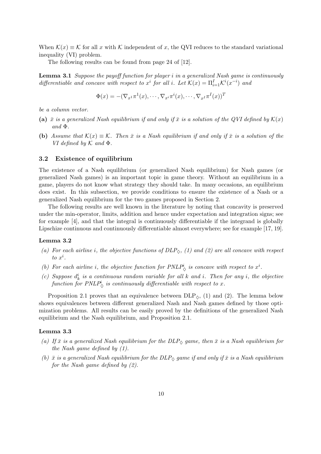When  $\mathcal{K}(x) \equiv \mathcal{K}$  for all x with K independent of x, the QVI reduces to the standard variational inequality (VI) problem.

The following results can be found from page 24 of [12].

Lemma 3.1 Suppose the payoff function for player i in a generalized Nash game is continuously differentiable and concave with respect to  $x^i$  for all i. Let  $\mathcal{K}(x) = \prod_{i=1}^I \mathcal{K}^i(x^{-i})$  and

$$
\Phi(x) = -(\nabla_{x^1} \pi^1(x), \cdots, \nabla_{x^i} \pi^i(x), \cdots, \nabla_{x^I} \pi^I(x))^T
$$

be a column vector.

- (a)  $\bar{x}$  is a generalized Nash equilibrium if and only if  $\bar{x}$  is a solution of the QVI defined by  $\mathcal{K}(x)$  $and \Phi.$
- (b) Assume that  $\mathcal{K}(x) \equiv \mathcal{K}$ . Then  $\bar{x}$  is a Nash equilibrium if and only if  $\bar{x}$  is a solution of the VI defined by  $\mathcal K$  and  $\Phi$ .

#### 3.2 Existence of equilibrium

The existence of a Nash equilibrium (or generalized Nash equilibrium) for Nash games (or generalized Nash games) is an important topic in game theory. Without an equilibrium in a game, players do not know what strategy they should take. In many occasions, an equilibrium does exist. In this subsection, we provide conditions to ensure the existence of a Nash or a generalized Nash equilibrium for the two games proposed in Section 2.

The following results are well known in the literature by noting that concavity is preserved under the min-operator, limits, addition and hence under expectation and integration signs; see for example [4], and that the integral is continuously differentiable if the integrand is globally Lipschize continuous and continuously differentiable almost everywhere; see for example [17, 19].

#### Lemma 3.2

- (a) For each airline i, the objective functions of  $DLP_{\lozenge}$ , (1) and (2) are all concave with respect to  $x^i$ .
- (b) For each airline i, the objective function for  $PNLP^i_{\diamondsuit}$  is concave with respect to  $x^i$ .
- (c) Suppose  $d_k^i$  is a continuous random variable for all k and i. Then for any i, the objective function for PNLP<sub> $\stackrel{i}{\circ}$ </sub> is continuously differentiable with respect to x.

Proposition 2.1 proves that an equivalence between  $DLP_{\lozenge}$ , (1) and (2). The lemma below shows equivalences between different generalized Nash and Nash games defined by those optimization problems. All results can be easily proved by the definitions of the generalized Nash equilibrium and the Nash equilibrium, and Proposition 2.1.

#### Lemma 3.3

- (a) If  $\bar{x}$  is a generalized Nash equilibrium for the DLP $_{\Diamond}$  game, then  $\bar{x}$  is a Nash equilibrium for the Nash game defined by (1).
- (b)  $\bar{x}$  is a generalized Nash equilibrium for the DLP $_{\Diamond}$  game if and only if  $\bar{x}$  is a Nash equilibrium for the Nash game defined by (2).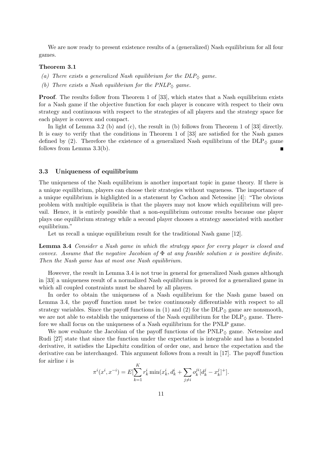We are now ready to present existence results of a (generalized) Nash equilibrium for all four games.

#### Theorem 3.1

- (a) There exists a generalized Nash equilibrium for the  $DLP_{\diamondsuit}$  game.
- (b) There exists a Nash equilibrium for the  $PNLP_{\Diamond}$  game.

Proof. The results follow from Theorem 1 of [33], which states that a Nash equilibrium exists for a Nash game if the objective function for each player is concave with respect to their own strategy and continuous with respect to the strategies of all players and the strategy space for each player is convex and compact.

In light of Lemma 3.2 (b) and (c), the result in (b) follows from Theorem 1 of [33] directly. It is easy to verify that the conditions in Theorem 1 of [33] are satisfied for the Nash games defined by (2). Therefore the existence of a generalized Nash equilibrium of the  $DLP_{\lozenge}$  game follows from Lemma 3.3(b).

#### 3.3 Uniqueness of equilibrium

The uniqueness of the Nash equilibrium is another important topic in game theory. If there is a unique equilibrium, players can choose their strategies without vagueness. The importance of a unique equilibrium is highlighted in a statement by Cachon and Netessine [4]: "The obvious problem with multiple equilibria is that the players may not know which equilibrium will prevail. Hence, it is entirely possible that a non-equilibrium outcome results because one player plays one equilibrium strategy while a second player chooses a strategy associated with another equilibrium."

Let us recall a unique equilibrium result for the traditional Nash game [12].

Lemma 3.4 Consider a Nash game in which the strategy space for every player is closed and convex. Assume that the negative Jacobian of  $\Phi$  at any feasible solution x is positive definite. Then the Nash game has at most one Nash equilibrium.

However, the result in Lemma 3.4 is not true in general for generalized Nash games although in [33] a uniqueness result of a normalized Nash equilibrium is proved for a generalized game in which all coupled constraints must be shared by all players.

In order to obtain the uniqueness of a Nash equilibrium for the Nash game based on Lemma 3.4, the payoff function must be twice continuously differentiable with respect to all strategy variables. Since the payoff functions in (1) and (2) for the  $DLP_{\alpha}$  game are nonsmooth, we are not able to establish the uniqueness of the Nash equilibrium for the  $DLP_{\lozenge}$  game. Therefore we shall focus on the uniqueness of a Nash equilibrium for the PNLP game.

We now evaluate the Jacobian of the payoff functions of the  $\text{PNLP}_{\diamond}$  game. Netessine and Rudi [27] state that since the function under the expectation is integrable and has a bounded derivative, it satisfies the Lipschitz condition of order one, and hence the expectation and the derivative can be interchanged. This argument follows from a result in [17]. The payoff function for airline  $i$  is

$$
\pi^{i}(x^{i}, x^{-i}) = E[\sum_{k=1}^{K} r_{k}^{i} \min(x_{k}^{i}, d_{k}^{i} + \sum_{j \neq i} o_{k}^{ji} [d_{k}^{j} - x_{k}^{j}]^{+}].
$$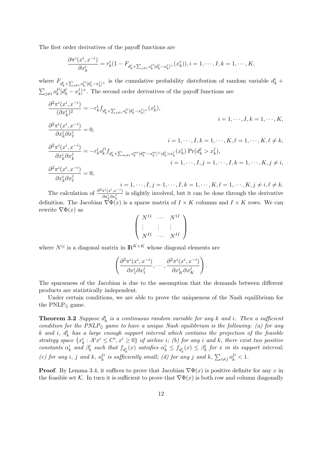The first order derivatives of the payoff functions are

$$
\frac{\partial \pi^i(x^i, x^{-i})}{\partial x_k^i} = r_k^i (1 - F_{d_k^i + \sum_{j \neq i} o_k^{ji} [d_k^j - x_k^j]^+}(x_k^i)), i = 1, \cdots, I, k = 1, \cdots, K,
$$

where  $F_{d_k^i+\sum_{j\neq i}\sigma_k^{ji}[d_k^j-x_k^j]^+}$  is the cumulative probability distribution of random variable  $d_k^i$  +  $\sum_{j\neq i}o_k^{ji}$  $j_i^j[d_k^j - x_k^j]$  $(k)$ <sup>j</sup>. The second order derivatives of the payoff functions are

$$
\frac{\partial^2 \pi^i (x^i, x^{-i})}{(\partial x_k^i)^2} = -r_k^i f_{d_k^i + \sum_{j \neq i} \partial_k^{ji} [d_k^j - x_k^j]^+} (x_k^i),
$$
\n
$$
i = 1, \dots, I, k = 1, \dots, K,
$$
\n
$$
\frac{\partial^2 \pi^i (x^i, x^{-i})}{\partial x_k^i \partial x_\ell^i} = 0,
$$
\n
$$
i = 1, \dots, I, k = 1, \dots, K, \ell = 1, \dots, K, \ell \neq k,
$$
\n
$$
\frac{\partial^2 \pi^i (x^i, x^{-i})}{\partial x_k^i \partial x_k^j} = -r_k^i \partial_k^{ji} f_{d_k^i + \sum_{m \neq i} \partial_k^{mi} [d_k^m - x_k^m]^+ |d_k^j > x_k^j} (x_k^i) \Pr(d_k^j > x_k^j),
$$
\n
$$
i = 1, \dots, I, j = 1, \dots, I, k = 1, \dots, K, j \neq i,
$$
\n
$$
\frac{\partial^2 \pi^i (x^i, x^{-i})}{\partial x_k^i \partial x_\ell^j} = 0,
$$
\n
$$
i = 1, \dots, I, j = 1, \dots, I, k = 1, \dots, K, \ell = 1, \dots, K, j \neq i, \ell \neq k.
$$

The calculation of  $\frac{\partial^2 \pi^i(x^i, x^{-i})}{\partial x^i}$  $\frac{\pi(x,x)}{\partial x_k^i \partial x_k^j}$  is slightly involved, but it can be done through the derivative definition. The Jacobian  $\nabla \Phi(x)$  is a sparse matrix of  $I \times K$  columns and  $I \times K$  rows. We can rewrite  $\nabla \Phi(x)$  as

$$
\left(\begin{array}{ccc}N^{11} & \cdots & N^{1I} \\ \vdots & \vdots & \vdots \\ N^{I1} & \cdots & N^{II}\end{array}\right)
$$

where  $N^{ij}$  is a diagonal matrix in  $\mathbb{R}^{K \times K}$  whose diagonal elements are

$$
\left(\frac{\partial^2 \pi^i(x^i, x^{-i})}{\partial x_1^i \partial x_1^j}, \dots, \frac{\partial^2 \pi^i(x^i, x^{-i})}{\partial x_K^i \partial x_K^j}\right).
$$

The sparseness of the Jacobian is due to the assumption that the demands between different products are statistically independent.

Under certain conditions, we are able to prove the uniqueness of the Nash equilibrium for the PNLP $_{\Diamond}$  game.

**Theorem 3.2** Suppose  $d_k^i$  is a continuous random variable for any k and i. Then a sufficient condition for the PNLP $_{\Diamond}$  game to have a unique Nash equilibrium is the following: (a) for any k and i,  $d_k^i$  has a large enough support interval which contains the projection of the feasible strategy space  $\{x_k^i : A^i x^i \leq C^i, x^i \geq 0\}$  of airline i; (b) for any i and k, there exist two positive constants  $\alpha_k^i$  and  $\beta_k^i$  such that  $f_{d_k^i}(x)$  satisfies  $\alpha_k^i \leq f_{d_k^i}(x) \leq \beta_k^i$  for x in its support interval; (c) for any i, j and k,  $o_k^{ji}$  $i_k^{ji}$  is sufficiently small; (d) for any j and k,  $\sum_{i\neq j}o_k^{ji} < 1$ .

**Proof.** By Lemma 3.4, it suffices to prove that Jacobian  $\nabla \Phi(x)$  is positive definite for any x in the feasible set K. In turn it is sufficient to prove that  $\nabla \Phi(x)$  is both row and column diagonally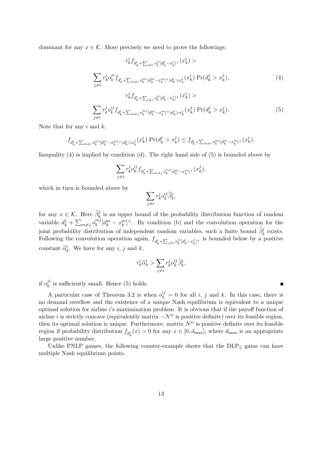dominant for any  $x \in \mathcal{K}$ . More precisely we need to prove the followings:

$$
r_{k}^{i} f_{d_{k}^{i} + \sum_{j \neq i} o_{k}^{ji} [d_{k}^{j} - x_{k}^{j}]^{+}}(x_{k}^{i}) >
$$
  

$$
\sum_{j \neq i} r_{k}^{i} o_{k}^{ji} f_{d_{k}^{i} + \sum_{m \neq i} o_{k}^{mi} [d_{k}^{m} - x_{k}^{m}]^{+} |d_{k}^{j} > x_{k}^{j}(x_{k}^{i}) \Pr(d_{k}^{j} > x_{k}^{j}),
$$
  

$$
r_{k}^{i} f_{d_{k}^{i} + \sum_{j \neq i} o_{k}^{ji} [d_{k}^{j} - x_{k}^{j}]^{+}}(x_{k}^{i}) >
$$
  

$$
\sum_{j \neq i} r_{k}^{j} o_{k}^{ij} f_{d_{k}^{j} + \sum_{m \neq j} o_{k}^{mj} [d_{k}^{m} - x_{k}^{m}]^{+} |d_{k}^{i} > x_{k}^{i}(x_{k}^{j}) \Pr(d_{k}^{j} > x_{k}^{j}).
$$
  
(5)

Note that for any  $i$  and  $k$ ,

$$
f_{d_k^i + \sum_{m \neq i} o_k^{mi} [d_k^m - x_k^m] + |d_k^j > x_k^j}(x_k^i) \Pr(d_k^j > x_k^j) \le f_{d_k^i + \sum_{m \neq i} o_k^{mi} [d_k^m - x_k^m] + (x_k^i).
$$

Inequality (4) is implied by condition (d). The right hand side of (5) is bounded above by

$$
\sum_{j\neq i}r_{k}^{j}o_{k}^{ij}f_{d_{k}^{j}+\sum_{m\neq j}o_{k}^{mj}[d_{k}^{m}-x_{k}^{m}]^{+}}(x_{k}^{j}),
$$

which in turn is bounded above by

$$
\sum_{j\neq i}r^j_k o^{ij}_k \widehat{\beta}^j_k,
$$

for any  $x \in \mathcal{K}$ . Here  $\hat{\beta}_k^j$  is an upper bound of the probability distribution function of random variable  $d_k^j + \sum_{m \neq j} o_k^{mj}$  $\binom{m}{k} [d_k^m - x_k^m]^+$ . By condition (b) and the convolution operation for the joint probability distribution of independent random variables, such a finite bound  $\hat{\beta}_k^j$  exists. Following the convolution operation again,  $f_{d_k^i+\sum_{j\neq i}o_k^{ji}[d_k^j-x_k^j]^+}$  is bounded below by a positive constant  $\widehat{\alpha}_k^i$ . We have for any *i*, *j* and *k*,

$$
r_k^i \widehat{\alpha}_k^i > \sum_{j \neq i} r_k^j o_k^{ij} \widehat{\beta}_k^j,
$$

if  $o_k^{ji}$  $\lambda_k^j$  is sufficiently small. Hence (5) holds.

A particular case of Theorem 3.2 is when  $o_k^{ij} = 0$  for all i, j and k. In this case, there is no demand overflow and the existence of a unique Nash equilibrium is equivalent to a unique optimal solution for airline i's maximization problem. It is obvious that if the payoff function of airline *i* is strictly concave (equivalently matrix  $-N^{ii}$  is positive definite) over its feasible region, then its optimal solution is unique. Furthermore, matrix  $N^{ii}$  is positive definite over its feasible region if probability distribution  $f_{d_k^i}(x) > 0$  for any  $x \in [0, d_{\text{max}}]$ , where  $d_{\text{max}}$  is an appropriate large positive number.

Unlike PNLP games, the following counter-example shows that the  $DLP_{\Diamond}$  game can have multiple Nash equilibrium points.

 $\blacksquare$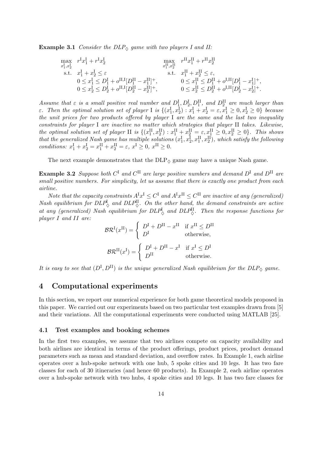**Example 3.1** Consider the DLP $_{\Diamond}$  game with two players I and II:

$$
\begin{array}{llll} \displaystyle \max_{x_1^{\text{I}}, x_2^{\text{I}}} & r^{\text{I} } x_1^{\text{I}} + r^{\text{I} } x_2^{\text{I}} & \max_{x_1^{\text{II}}, x_2^{\text{II}}} & r^{\text{II}} x_1^{\text{II}} + r^{\text{II}} x_2^{\text{II}} \\ \text{s.t.} & x_1^{\text{I}} + x_2^{\text{I}} \leq \varepsilon & \text{s.t.} & x_1^{\text{II}} + x_2^{\text{II}} \leq \varepsilon, \\ & 0 \leq x_1^{\text{I}} \leq D_1^{\text{I}} + o^{\text{II,I}} [D_1^{\text{II}} - x_1^{\text{II}}]^+, & 0 \leq x_1^{\text{II}} \leq D_1^{\text{II}} + o^{\text{I,II}} [D_1^{\text{I}} - x_1^{\text{I}}]^+, \\ & 0 \leq x_2^{\text{I}} \leq D_2^{\text{I}} + o^{\text{II,I}} [D_2^{\text{II}} - x_2^{\text{II}}]^+, & 0 \leq x_2^{\text{II}} \leq D_2^{\text{II}} + o^{\text{I,II}} [D_2^{\text{I}} - x_2^{\text{I}}]^+. \end{array}
$$

Assume that  $\varepsilon$  is a small positive real number and  $D_1^I, D_2^I, D_1^{II}$ , and  $D_2^{II}$  are much larger than *ε*. Then the optimal solution set of player I is  $\{(x_1^I, x_2^I): x_1^I + x_2^I = \varepsilon, x_1^I \geq 0, x_2^I \geq 0\}$  because the unit prices for two products offered by player I are the same and the last two inequality constraints for player I are inactive no matter which strategies that player II takes. Likewise, the optimal solution set of player II is  $\{(x_1^{\text{II}}, x_2^{\text{II}}) : x_1^{\text{II}} + x_2^{\text{II}} = \varepsilon, x_1^{\text{II}} \geq 0, x_2^{\text{II}} \geq 0\}$ . This shows that the generalized Nash game has multiple solutions  $(x_1^I, x_2^I, x_1^{II}, x_2^{II})$ , which satisfy the following conditions:  $x_1^{\text{I}} + x_2^{\text{I}} = x_1^{\text{II}} + x_2^{\text{II}} = \varepsilon, x^{\text{I}} \ge 0, x^{\text{II}} \ge 0.$ 

The next example demonstrates that the  $DLP_{\Diamond}$  game may have a unique Nash game.

**Example 3.2** Suppose both  $C^{\text{I}}$  and  $C^{\text{II}}$  are large positive numbers and demand  $D^{\text{I}}$  and  $D^{\text{II}}$  are small positive numbers. For simplicity, let us assume that there is exactly one product from each airline.

Note that the capacity constraints  $A^I x^I \leq C^I$  and  $A^I x^{II} \leq C^{II}$  are inactive at any (generalized) Nash equilibrium for  $DLP^{\text{I}}_{\diamondsuit}$  and  $DLP^{\text{II}}_{\diamondsuit}$ . On the other hand, the demand constraints are active at any (generalized) Nash equilibrium for  $DLP^{\text{I}}_{\lozenge}$  and  $DLP^{\text{II}}_{\lozenge}$ . Then the response functions for player I and II are:

$$
B\mathcal{R}^{I}(x^{II}) = \begin{cases} D^{I} + D^{II} - x^{II} & \text{if } x^{II} \leq D^{II} \\ D^{I} & \text{otherwise,} \end{cases}
$$

$$
B\mathcal{R}^{II}(x^{I}) = \begin{cases} D^{I} + D^{II} - x^{I} & \text{if } x^{I} \leq D^{I} \\ D^{II} & \text{otherwise.} \end{cases}
$$

It is easy to see that  $(D^{\rm I}, D^{\rm II})$  is the unique generalized Nash equilibrium for the  $DLP_{\rm O}$  game.

# 4 Computational experiments

In this section, we report our numerical experience for both game theoretical models proposed in this paper. We carried out our experiments based on two particular test examples drawn from [5] and their variations. All the computational experiments were conducted using MATLAB [25].

#### 4.1 Test examples and booking schemes

In the first two examples, we assume that two airlines compete on capacity availability and both airlines are identical in terms of the product offerings, product prices, product demand parameters such as mean and standard deviation, and overflow rates. In Example 1, each airline operates over a hub-spoke network with one hub, 5 spoke cities and 10 legs. It has two fare classes for each of 30 itineraries (and hence 60 products). In Example 2, each airline operates over a hub-spoke network with two hubs, 4 spoke cities and 10 legs. It has two fare classes for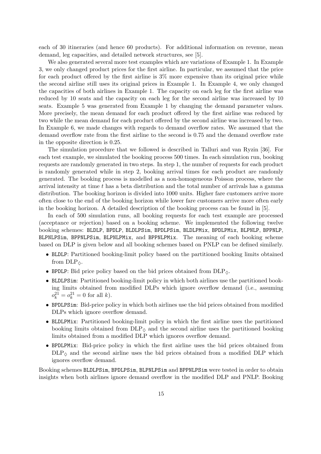each of 30 itineraries (and hence 60 products). For additional information on revenue, mean demand, leg capacities, and detailed network structures, see [5].

We also generated several more test examples which are variations of Example 1. In Example 3, we only changed product prices for the first airline. In particular, we assumed that the price for each product offered by the first airline is 3% more expensive than its original price while the second airline still uses its original prices in Example 1. In Example 4, we only changed the capacities of both airlines in Example 1. The capacity on each leg for the first airline was reduced by 10 seats and the capacity on each leg for the second airline was increased by 10 seats. Example 5 was generated from Example 1 by changing the demand parameter values. More precisely, the mean demand for each product offered by the first airline was reduced by two while the mean demand for each product offered by the second airline was increased by two. In Example 6, we made changes with regards to demand overflow rates. We assumed that the demand overflow rate from the first airline to the second is 0.75 and the demand overflow rate in the opposite direction is 0.25.

The simulation procedure that we followed is described in Talluri and van Ryzin [36]. For each test example, we simulated the booking process 500 times. In each simulation run, booking requests are randomly generated in two steps. In step 1, the number of requests for each product is randomly generated while in step 2, booking arrival times for each product are randomly generated. The booking process is modelled as a non-homogeneous Poisson process, where the arrival intensity at time t has a beta distribution and the total number of arrivals has a gamma distribution. The booking horizon is divided into 1000 units. Higher fare customers arrive more often close to the end of the booking horizon while lower fare customers arrive more often early in the booking horizon. A detailed description of the booking process can be found in [5].

In each of 500 simulation runs, all booking requests for each test example are processed (acceptance or rejection) based on a booking scheme. We implemented the following twelve booking schemes: BLDLP, BPDLP, BLDLPSim, BPDLPSim, BLDLPMix, BPDLPMix, BLPNLP, BPPNLP, BLPNLPSim, BPPNLPSim, BLPNLPMix, and BPPNLPMix. The meaning of each booking scheme based on DLP is given below and all booking schemes based on PNLP can be defined similarly.

- BLDLP: Partitioned booking-limit policy based on the partitioned booking limits obtained from  $DLP_{\Diamond}$ .
- BPDLP: Bid price policy based on the bid prices obtained from  $DLP_{\lozenge}$ .
- BLDLPSim: Partitioned booking-limit policy in which both airlines use the partitioned booking limits obtained from modified DLPs which ignore overflow demand (i.e., assuming  $o_k^{21} = o_k^{21} = 0$  for all k).
- BPDLPSim: Bid-price policy in which both airlines use the bid prices obtained from modified DLPs which ignore overflow demand.
- BLDLPMix: Partitioned booking-limit policy in which the first airline uses the partitioned booking limits obtained from  $DLP_{\lozenge}$  and the second airline uses the partitioned booking limits obtained from a modified DLP which ignores overflow demand.
- BPDLPMix: Bid-price policy in which the first airline uses the bid prices obtained from  $DLP_{\diamond}$  and the second airline uses the bid prices obtained from a modified DLP which ignores overflow demand.

Booking schemes BLDLPSim, BPDLPSim, BLPNLPSim and BPPNLPSim were tested in order to obtain insights when both airlines ignore demand overflow in the modified DLP and PNLP. Booking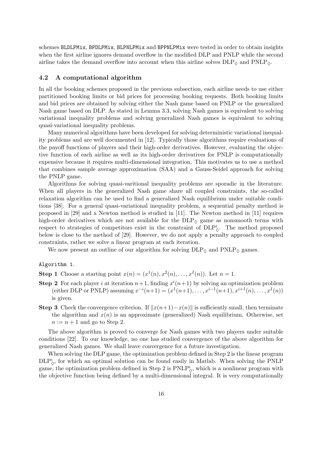schemes BLDLPMix, BPDLPMix, BLPNLPMix and BPPNLPMix were tested in order to obtain insights when the first airline ignores demand overflow in the modified DLP and PNLP while the second airline takes the demand overflow into account when this airline solves  $DLP_{\lozenge}$  and  $PNLP_{\lozenge}$ .

#### 4.2 A computational algorithm

In all the booking schemes proposed in the previous subsection, each airline needs to use either partitioned booking limits or bid prices for processing booking requests. Both booking limits and bid prices are obtained by solving either the Nash game based on PNLP or the generalized Nash game based on DLP. As stated in Lemma 3.3, solving Nash games is equivalent to solving variational inequality problems and solving generalized Nash games is equivalent to solving quasi-variational inequality problems.

Many numerical algorithms have been developed for solving deterministic variational inequality problems and are well documented in [12]. Typically those algorithms require evaluations of the payoff functions of players and their high-order derivatives. However, evaluating the objective function of each airline as well as its high-order derivatives for PNLP is computationally expensive because it requires multi-dimensional integration. This motivates us to use a method that combines sample average approximation (SAA) and a Gauss-Seidel approach for solving the PNLP game.

Algorithms for solving quasi-varitional inequality problems are sporadic in the literature. When all players in the generalized Nash game share all coupled constraints, the so-called relaxation algorithm can be used to find a generalized Nash equilibrium under suitable conditions [38]. For a general quasi-variational inequality problem, a sequential penalty method is proposed in [29] and a Newton method is studied in [11]. The Newton method in [11] requires high-order derivatives which are not available for the  $DLP_{\lozenge}$  game as nonsmooth terms with respect to strategies of competitors exist in the constraint of  $DLP^i_{\diamondsuit}$ . The method proposed below is close to the method of [29]. However, we do not apply a penalty approach to coupled constraints, rather we solve a linear program at each iteration.

We now present an outline of our algorithm for solving  $DLP_{\lozenge}$  and  $PNLP_{\lozenge}$  games.

#### Algorithm 1.

**Step 1** Choose a starting point  $x(n) = (x^1(n), x^2(n), \ldots, x^I(n))$ . Let  $n = 1$ .

- **Step 2** For each player i at iteration  $n+1$ , finding  $x^{i}(n+1)$  by solving an optimization problem (either DLP or PNLP) assuming  $x^{-i}(n+1) = (x^{1}(n+1), \ldots, x^{i-1}(n+1), x^{i+1}(n), \ldots, x^{I}(n))$ is given.
- **Step 3** Check the convergence criterion. If  $||x(n+1)-x(n)||$  is sufficiently small, then terminate the algorithm and  $x(n)$  is an approximate (generalized) Nash equilibrium. Otherwise, set  $n := n + 1$  and go to Step 2.

The above algorithm is proved to converge for Nash games with two players under suitable conditions [22]. To our knowledge, no one has studied convergence of the above algorithm for generalized Nash games. We shall leave convergence for a future investigation.

When solving the DLP game, the optimization problem defined in Step 2 is the linear program  $\text{DLP}_\diamond^i$ , for which an optimal solution can be found easily in Matlab. When solving the PNLP game, the optimization problem defined in Step 2 is  $\text{PNLP}_\diamondsuit^i$ , which is a nonlinear program with the objective function being defined by a multi-dimensional integral. It is very computationally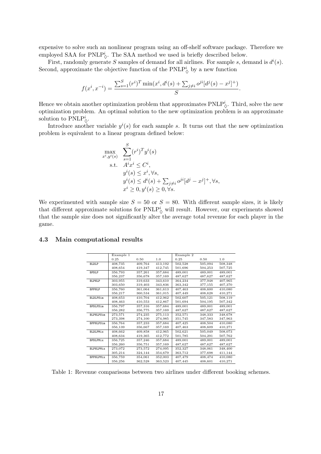expensive to solve such an nonlinear program using an off-shelf software package. Therefore we employed SAA for PNLP<sup>i</sup><sub> $\Diamond$ </sub>. The SAA method we used is briefly described below.

First, randomly generate S samples of demand for all airlines. For sample s, demand is  $d^{i}(s)$ . Second, approximate the objective function of the  $\text{PNLP}_\lozenge^i$  by a new function

$$
f(x^{i}, x^{-i}) = \frac{\sum_{s=1}^{S} (r^{i})^{T} \min(x^{i}, d^{i}(s) + \sum_{j \neq i} o^{ji} [d^{j}(s) - x^{j}]^{+})}{S}.
$$

Hence we obtain another optimization problem that approximates  $\text{PNLP}_\diamond^i$ . Third, solve the new optimization problem. An optimal solution to the new optimization problem is an approximate solution to  $\mathrm{PNLP}_\lozenge^i$ .

Introduce another variable  $y^{i}(s)$  for each sample s. It turns out that the new optimization problem is equivalent to a linear program defined below:

$$
\max_{x^i, y^i(s)} \sum_{s=1}^S (r^i)^T y^i(s)
$$
\n
$$
\text{s.t.} \quad A^i x^i \le C^i,
$$
\n
$$
y^i(s) \le x^i, \forall s,
$$
\n
$$
y^i(s) \le d^i(s) + \sum_{j \ne i} o^{ji} [d^j - x^j]^+, \forall s,
$$
\n
$$
x^i \ge 0, y^i(s) \ge 0, \forall s.
$$

We experimented with sample size  $S = 50$  or  $S = 80$ . With different sample sizes, it is likely that different approximate solutions for  $\text{PNLP}_\diamondsuit^i$  will result. However, our experiments showed that the sample size does not significantly alter the average total revenue for each player in the game.

|                  | Example 1 |         |         | Example 2 |         |         |
|------------------|-----------|---------|---------|-----------|---------|---------|
|                  | 0.25      | 0.50    | 1.0     | 0.25      | 0.50    | 1.0     |
| <b>BLDLP</b>     | 408,735   | 409,764 | 413,192 | 502,528   | 505,094 | 508,348 |
|                  | 408,654   | 419,347 | 412,745 | 501,696   | 504,253 | 507,725 |
| <b>BPDLP</b>     | 356,793   | 357,261 | 357,684 | 489,001   | 489,001 | 489,001 |
|                  | 356,237   | 356,678 | 357,169 | 487,627   | 487,627 | 487,627 |
| <b>BLPNLP</b>    | 303,955   | 319,633 | 343,610 | 364,234   | 377,948 | 407,965 |
|                  | 303,650   | 319,403 | 343,836 | 363,342   | 377,155 | 407,370 |
| <b>BPPNLP</b>    | 356,760   | 361,064 | 361,613 | 407,463   | 408,600 | 410,080 |
|                  | 356,217   | 360,534 | 361,015 | 407,449   | 408,628 | 410,271 |
| <b>BLDLPSim</b>  | 408,653   | 410,704 | 412,962 | 502,607   | 505,121 | 508,119 |
|                  | 408,463   | 410,553 | 412,867 | 501.694   | 504,195 | 507,342 |
| <b>BPDLPSim</b>  | 356,797   | 357,316 | 357,684 | 489,001   | 489,001 | 489,001 |
|                  | 356,282   | 356,775 | 357,169 | 487,627   | 487,627 | 487,627 |
| BLPNLPSim        | 273,571   | 274,235 | 275,113 | 352,571   | 348,333 | 348,678 |
|                  | 273,398   | 274,100 | 274,985 | 351,745   | 347,583 | 347,963 |
| <b>BPPNLPSim</b> | 356,764   | 357,233 | 357,684 | 407,425   | 408,504 | 410,080 |
|                  | 356,139   | 356,667 | 357,169 | 407,463   | 408,609 | 410,271 |
| <b>BLDLPMix</b>  | 408,662   | 409,858 | 412,965 | 502,621   | 505,049 | 508,073 |
|                  | 408,634   | 419,365 | 412,772 | 501,785   | 504,291 | 507,762 |
| <b>BPDLPMix</b>  | 356,725   | 357,246 | 357,684 | 489,001   | 489,001 | 489,001 |
|                  | 356,260   | 356,751 | 357,169 | 487,627   | 487,627 | 487,627 |
| <b>BLPNLPMix</b> | 273,072   | 273,572 | 274,095 | 352,327   | 348,061 | 348,400 |
|                  | 305,214   | 324,144 | 354,679 | 363,712   | 377,698 | 411,144 |
| <b>BPPNLPMix</b> | 356,759   | 354,061 | 352,003 | 407,479   | 408,474 | 410,080 |
|                  | 356.256   | 362.528 | 363.523 | 407,445   | 408,601 | 410.271 |

#### 4.3 Main computational results

Table 1: Revenue comparisons between two airlines under different booking schemes.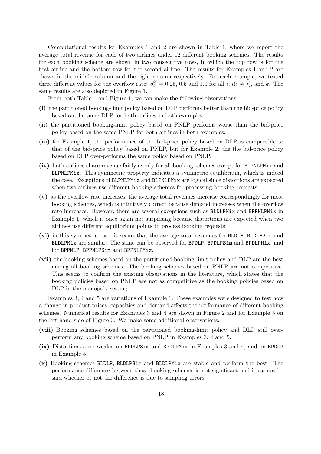Computational results for Examples 1 and 2 are shown in Table 1, where we report the average total revenue for each of two airlines under 12 different booking schemes. The results for each booking scheme are shown in two consecutive rows, in which the top row is for the first airline and the bottom row for the second airline. The results for Examples 1 and 2 are shown in the middle column and the right column respectively. For each example, we tested three different values for the overflow rate:  $o_k^{ij} = 0.25, 0.5$  and 1.0 for all  $i, j(i \neq j)$ , and k. The same results are also depicted in Figure 1.

From both Table 1 and Figure 1, we can make the following observations.

- (i) the partitioned booking-limit policy based on DLP performs better than the bid-price policy based on the same DLP for both airlines in both examples.
- (ii) the partitioned booking-limit policy based on PNLP performs worse than the bid-price policy based on the same PNLP for both airlines in both examples.
- (iii) for Example 1, the performance of the bid-price policy based on DLP is comparable to that of the bid-price policy based on PNLP, but for Example 2, the the bid-price policy based on DLP over-performs the same policy based on PNLP.
- (iv) both airlines share revenue fairly evenly for all booking schemes except for BLPNLPMix and BLPNLPMix. This symmetric property indicates a symmetric equilibrium, which is indeed the case. Exceptions of BLPNLPMix and BLPNLPMix are logical since distortions are expected when two airlines use different booking schemes for processing booking requests.
- (v) as the overflow rate increases, the average total revenues increase correspondingly for most booking schemes, which is intuitively correct because demand increases when the overflow rate increases. However, there are several exceptions such as BLDLPMix and BPPNLPMix in Example 1, which is once again not surprising because distortions are expected when two airlines use different equilibrium points to process booking requests.
- (vi) in this symmetric case, it seems that the average total revenues for BLDLP, BLDLPSim and BLDLPMix are similar. The same can be observed for BPDLP, BPDLPSim and BPDLPMix, and for BPPNLP, BPPNLPSim and BPPNLPMix.
- (vii) the booking schemes based on the partitioned booking-limit policy and DLP are the best among all booking schemes. The booking schemes based on PNLP are not competitive. This seems to confirm the existing observations in the literature, which states that the booking policies based on PNLP are not as competitive as the booking policies based on DLP in the monopoly setting.

Examples 3, 4 and 5 are variations of Example 1. These examples were designed to test how a change in product prices, capacities and demand affects the performance of different booking schemes. Numerical results for Examples 3 and 4 are shown in Figure 2 and for Example 5 on the left hand side of Figure 3. We make some additional observations.

- (viii) Booking schemes based on the partitioned booking-limit policy and DLP still overperform any booking scheme based on PNLP in Examples 3, 4 and 5.
- (ix) Distortions are revealed on BPDLPSim and BPDLPMix in Examples 3 and 4, and on BPDLP in Example 5.
- (x) Booking schemes BLDLP, BLDLPSim and BLDLPMix are stable and perform the best. The performance difference between those booking schemes is not significant and it cannot be said whether or not the difference is due to sampling errors.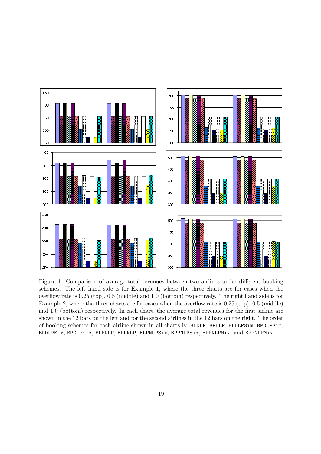

Figure 1: Comparison of average total revenues between two airlines under different booking schemes. The left hand side is for Example 1, where the three charts are for cases when the overflow rate is 0.25 (top), 0.5 (middle) and 1.0 (bottom) respectively. The right hand side is for Example 2, where the three charts are for cases when the overflow rate is 0.25 (top), 0.5 (middle) and 1.0 (bottom) respectively. In each chart, the average total revenues for the first airline are shown in the 12 bars on the left and for the second airlines in the 12 bars on the right. The order of booking schemes for each airline shown in all charts is: BLDLP, BPDLP, BLDLPSim, BPDLPSim, BLDLPMix, BPDLPmix, BLPNLP, BPPNLP, BLPNLPSim, BPPNLPSim, BLPNLPMix, and BPPNLPMix.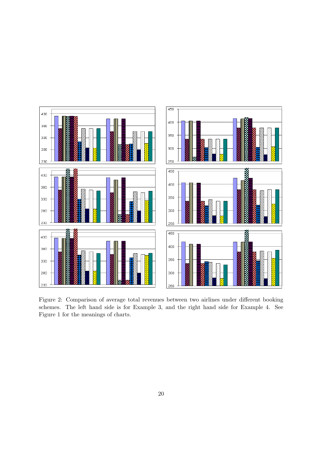

Figure 2: Comparison of average total revenues between two airlines under different booking schemes. The left hand side is for Example 3, and the right hand side for Example 4. See Figure 1 for the meanings of charts.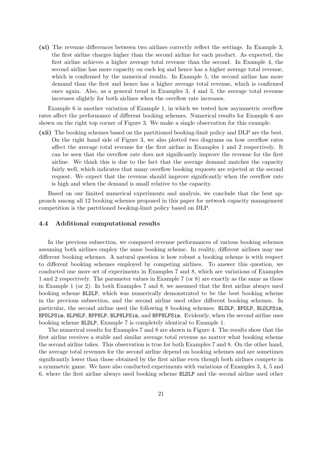(xi) The revenue differences between two airlines correctly reflect the settings. In Example 3, the first airline charges higher than the second airline for each product. As expected, the first airline achieves a higher average total revenue than the second. In Example 4, the second airline has more capacity on each leg and hence has a higher average total revenue, which is confirmed by the numerical results. In Example 5, the second airline has more demand than the first and hence has a higher average total revenue, which is confirmed once again. Also, as a general trend in Examples 3, 4 and 5, the average total revenue increases slightly for both airlines when the overflow rate increases.

Example 6 is another variation of Example 1, in which we tested how asymmetric overflow rates affect the performance of different booking schemes. Numerical results for Example 6 are shown on the right top corner of Figure 3. We make a single observation for this example.

(xii) The booking schemes based on the partitioned booking-limit policy and DLP are the best. On the right hand side of Figure 3, we also plotted two diagrams on how overflow rates affect the average total revenue for the first airline in Examples 1 and 2 respectively. It can be seen that the overflow rate does not significantly improve the revenue for the first airline. We think this is due to the fact that the average demand matches the capacity fairly well, which indicates that many overflow booking requests are rejected at the second request. We expect that the revenue should improve significantly when the overflow rate is high and when the demand is small relative to the capacity.

Based on our limited numerical experiments and analysis, we conclude that the best approach among all 12 booking schemes proposed in this paper for network capacity management competition is the partitioned booking-limit policy based on DLP.

#### 4.4 Additional computational results

In the previous subsection, we compared revenue performances of various booking schemes assuming both airlines employ the same booking scheme. In reality, different airlines may use different booking schemes. A natural question is how robust a booking scheme is with respect to different booking schemes employed by competing airlines. To answer this question, we conducted one more set of experiments in Examples 7 and 8, which are variations of Examples 1 and 2 respectively. The parameter values in Example 7 (or 8) are exactly as the same as those in Example 1 (or 2). In both Examples 7 and 8, we assumed that the first airline always used booking scheme BLDLP, which was numerically demonstrated to be the best booking scheme in the previous subsection, and the second airline used other different booking schemes. In particular, the second airline used the following 8 booking schemes: BLDLP, BPDLP, BLDLPSim, BPDLPSim, BLPNLP, BPPNLP, BLPNLPSim, and BPPNLPSim. Evidently, when the second airline uses booking scheme BLDLP, Example 7 is completely identical to Example 1.

The numerical results for Examples 7 and 8 are shown in Figure 4. The results show that the first airline receives a stable and similar average total revenue no matter what booking scheme the second airline takes. This observation is true for both Examples 7 and 8. On the other hand, the average total revenues for the second airline depend on booking schemes and are sometimes significantly lower than those obtained by the first airline even though both airlines compete in a symmetric game. We have also conducted experiments with variations of Examples 3, 4, 5 and 6, where the first airline always used booking scheme BLDLP and the second airline used other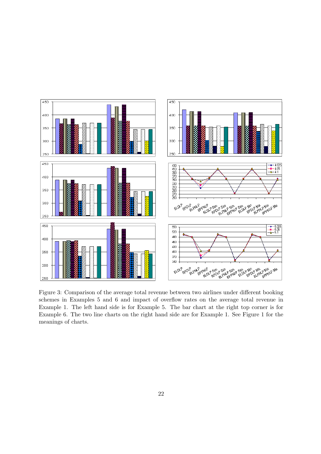

Figure 3: Comparison of the average total revenue between two airlines under different booking schemes in Examples 5 and 6 and impact of overflow rates on the average total revenue in Example 1. The left hand side is for Example 5. The bar chart at the right top corner is for Example 6. The two line charts on the right hand side are for Example 1. See Figure 1 for the meanings of charts.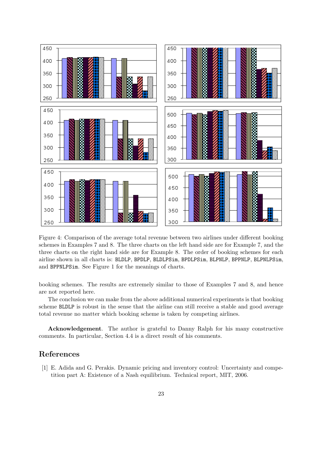

Figure 4: Comparison of the average total revenue between two airlines under different booking schemes in Examples 7 and 8. The three charts on the left hand side are for Example 7, and the three charts on the right hand side are for Example 8. The order of booking schemes for each airline shown in all charts is: BLDLP, BPDLP, BLDLPSim, BPDLPSim, BLPNLP, BPPNLP, BLPNLPSim, and BPPNLPSim. See Figure 1 for the meanings of charts.

booking schemes. The results are extremely similar to those of Examples 7 and 8, and hence are not reported here.

The conclusion we can make from the above additional numerical experiments is that booking scheme BLDLP is robust in the sense that the airline can still receive a stable and good average total revenue no matter which booking scheme is taken by competing airlines.

Acknowledgement. The author is grateful to Danny Ralph for his many constructive comments. In particular, Section 4.4 is a direct result of his comments.

# References

[1] E. Adida and G. Perakis. Dynamic pricing and inventory control: Uncertainty and competition part A: Existence of a Nash equilibrium. Technical report, MIT, 2006.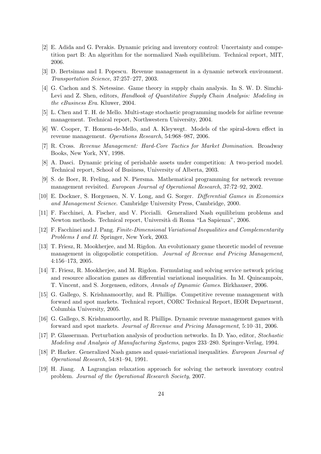- [2] E. Adida and G. Perakis. Dynamic pricing and inventory control: Uncertainty and competition part B: An algorithm for the normalized Nash equilibrium. Technical report, MIT, 2006.
- [3] D. Bertsimas and I. Popescu. Revenue management in a dynamic network environment. Transportation Science, 37:257–277, 2003.
- [4] G. Cachon and S. Netessine. Game theory in supply chain analysis. In S. W. D. Simchi-Levi and Z. Shen, editors, *Handbook of Quantitative Supply Chain Analysis: Modeling in* the eBusiness Era. Kluwer, 2004.
- [5] L. Chen and T. H. de Mello. Multi-stage stochastic programming models for airline revenue management. Technical report, Northwestern University, 2004.
- [6] W. Cooper, T. Homem-de-Mello, and A. Kleywegt. Models of the spiral-down effect in revenue management. Operations Research, 54:968–987, 2006.
- [7] R. Cross. Revenue Management: Hard-Core Tactics for Market Domination. Broadway Books, New York, NY, 1998.
- [8] A. Dasci. Dynamic pricing of perishable assets under competition: A two-period model. Technical report, School of Business, University of Alberta, 2003.
- [9] S. de Boer, R. Freling, and N. Piersma. Mathematical programming for network revenue management revisited. European Journal of Operational Research, 37:72–92, 2002.
- [10] E. Dockner, S. Horgensen, N. V. Long, and G. Sorger. Differential Games in Economics and Management Science. Cambridge University Press, Cambridge, 2000.
- [11] F. Facchinei, A. Fischer, and V. Piccialli. Generalized Nash equilibrium problems and Newton methods. Technical report, Università di Roma "La Sapienza", 2006.
- [12] F. Facchinei and J. Pang. Finite-Dimensional Variational Inequalities and Complementarity Problems I and II. Springer, New York, 2003.
- [13] T. Friesz, R. Mookherjee, and M. Rigdon. An evolutionary game theoretic model of revenue management in oligopolistic competition. Journal of Revenue and Pricing Management, 4:156–173, 2005.
- [14] T. Friesz, R. Mookherjee, and M. Rigdon. Formulating and solving service network pricing and resource allocation games as differential variational inequalities. In M. Quincampoix, T. Vincent, and S. Jorgensen, editors, Annals of Dynamic Games. Birkhauser, 2006.
- [15] G. Gallego, S. Krishnamoorthy, and R. Phillips. Competitive revenue management with forward and spot markets. Technical report, CORC Technical Report, IEOR Department, Columbia University, 2005.
- [16] G. Gallego, S. Krishnamoorthy, and R. Phillips. Dynamic revenue management games with forward and spot markets. Journal of Revenue and Pricing Management, 5:10–31, 2006.
- [17] P. Glasserman. Perturbation analysis of production networks. In D. Yao, editor, Stochastic Modeling and Analysis of Manufacturing Systems, pages 233–280. Springer-Verlag, 1994.
- [18] P. Harker. Generalized Nash games and quasi-variational inequalities. European Journal of Operational Research, 54:81–94, 1991.
- [19] H. Jiang. A Lagrangian relaxation approach for solving the network inventory control problem. Journal of the Operational Research Society, 2007.